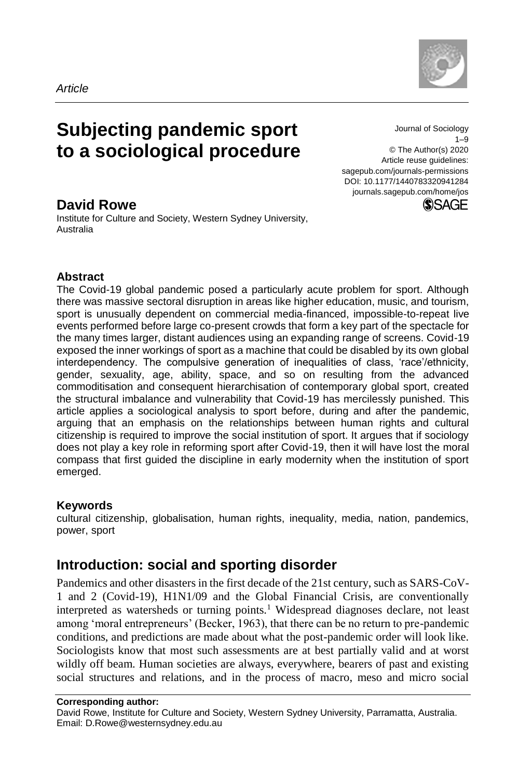

# **Subjecting pandemic sport to a sociological procedure**

Journal of Sociology 1–9 © The Author(s) 2020 Article reuse guidelines: sagepub.com/journals-permissions DOI: 10.1177/1440783320941284 journals.sagepub.com/home/jos**SSAGE** 

# **David Rowe**

Institute for Culture and Society, Western Sydney University, Australia

#### **Abstract**

The Covid-19 global pandemic posed a particularly acute problem for sport. Although there was massive sectoral disruption in areas like higher education, music, and tourism, sport is unusually dependent on commercial media-financed, impossible-to-repeat live events performed before large co-present crowds that form a key part of the spectacle for the many times larger, distant audiences using an expanding range of screens. Covid-19 exposed the inner workings of sport as a machine that could be disabled by its own global interdependency. The compulsive generation of inequalities of class, 'race'/ethnicity, gender, sexuality, age, ability, space, and so on resulting from the advanced commoditisation and consequent hierarchisation of contemporary global sport, created the structural imbalance and vulnerability that Covid-19 has mercilessly punished. This article applies a sociological analysis to sport before, during and after the pandemic, arguing that an emphasis on the relationships between human rights and cultural citizenship is required to improve the social institution of sport. It argues that if sociology does not play a key role in reforming sport after Covid-19, then it will have lost the moral compass that first guided the discipline in early modernity when the institution of sport emerged.

#### **Keywords**

cultural citizenship, globalisation, human rights, inequality, media, nation, pandemics, power, sport

# **Introduction: social and sporting disorder**

Pandemics and other disasters in the first decade of the 21st century, such as SARS-CoV-1 and 2 (Covid-19), H1N1/09 and the Global Financial Crisis, are conventionally interpreted as watersheds or turning points.<sup>1</sup> Widespread diagnoses declare, not least among 'moral entrepreneurs' (Becker, 1963), that there can be no return to pre-pandemic conditions, and predictions are made about what the post-pandemic order will look like. Sociologists know that most such assessments are at best partially valid and at worst wildly off beam. Human societies are always, everywhere, bearers of past and existing social structures and relations, and in the process of macro, meso and micro social

#### **Corresponding author:**

David Rowe, Institute for Culture and Society, Western Sydney University, Parramatta, Australia. Email: D.Rowe@westernsydney.edu.au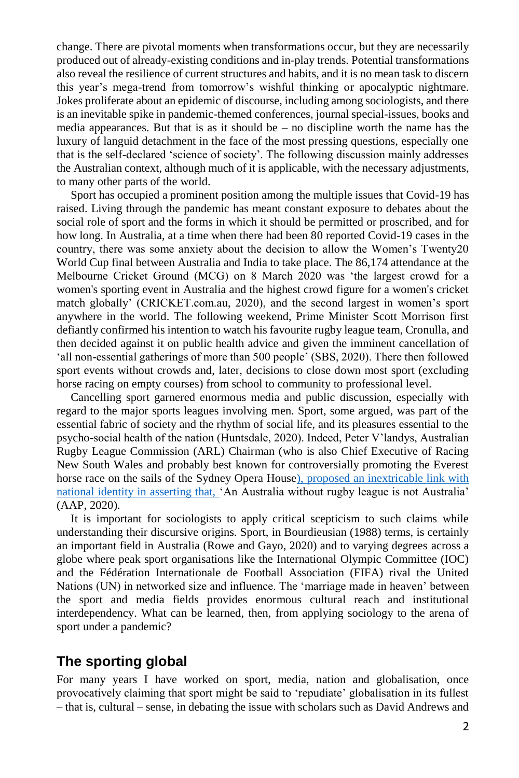change. There are pivotal moments when transformations occur, but they are necessarily produced out of already-existing conditions and in-play trends. Potential transformations also reveal the resilience of current structures and habits, and it is no mean task to discern this year's mega-trend from tomorrow's wishful thinking or apocalyptic nightmare. Jokes proliferate about an epidemic of discourse, including among sociologists, and there is an inevitable spike in pandemic-themed conferences, journal special-issues, books and media appearances. But that is as it should be  $-$  no discipline worth the name has the luxury of languid detachment in the face of the most pressing questions, especially one that is the self-declared 'science of society'. The following discussion mainly addresses the Australian context, although much of it is applicable, with the necessary adjustments, to many other parts of the world.

Sport has occupied a prominent position among the multiple issues that Covid-19 has raised. Living through the pandemic has meant constant exposure to debates about the social role of sport and the forms in which it should be permitted or proscribed, and for how long. In Australia, at a time when there had been 80 reported Covid-19 cases in the country, there was some anxiety about the decision to allow the Women's Twenty20 World Cup final between Australia and India to take place. The 86,174 attendance at the Melbourne Cricket Ground (MCG) on 8 March 2020 was 'the largest crowd for a women's sporting event in Australia and the highest crowd figure for a women's cricket match globally' (CRICKET.com.au, 2020), and the second largest in women's sport anywhere in the world. The following weekend, Prime Minister Scott Morrison first defiantly confirmed his intention to watch his favourite rugby league team, Cronulla, and then decided against it on public health advice and given the imminent cancellation of 'all non-essential gatherings of more than 500 people' (SBS, 2020). There then followed sport events without crowds and, later, decisions to close down most sport (excluding horse racing on empty courses) from school to community to professional level.

Cancelling sport garnered enormous media and public discussion, especially with regard to the major sports leagues involving men. Sport, some argued, was part of the essential fabric of society and the rhythm of social life, and its pleasures essential to the psycho-social health of the nation (Huntsdale, 2020). Indeed, Peter V'landys, Australian Rugby League Commission (ARL) Chairman (who is also Chief Executive of Racing New South Wales and probably best known for controversially promoting the Everest horse race on the sails of the Sydney Opera House), proposed an inextricable link with national identity in asserting that, 'An Australia without rugby league is not Australia' (AAP, 2020).

It is important for sociologists to apply critical scepticism to such claims while understanding their discursive origins. Sport, in Bourdieusian (1988) terms, is certainly an important field in Australia (Rowe and Gayo, 2020) and to varying degrees across a globe where peak sport organisations like the International Olympic Committee (IOC) and the Fédération Internationale de Football Association (FIFA) rival the United Nations (UN) in networked size and influence. The 'marriage made in heaven' between the sport and media fields provides enormous cultural reach and institutional interdependency. What can be learned, then, from applying sociology to the arena of sport under a pandemic?

# **The sporting global**

For many years I have worked on sport, media, nation and globalisation, once provocatively claiming that sport might be said to 'repudiate' globalisation in its fullest – that is, cultural – sense, in debating the issue with scholars such as David Andrews and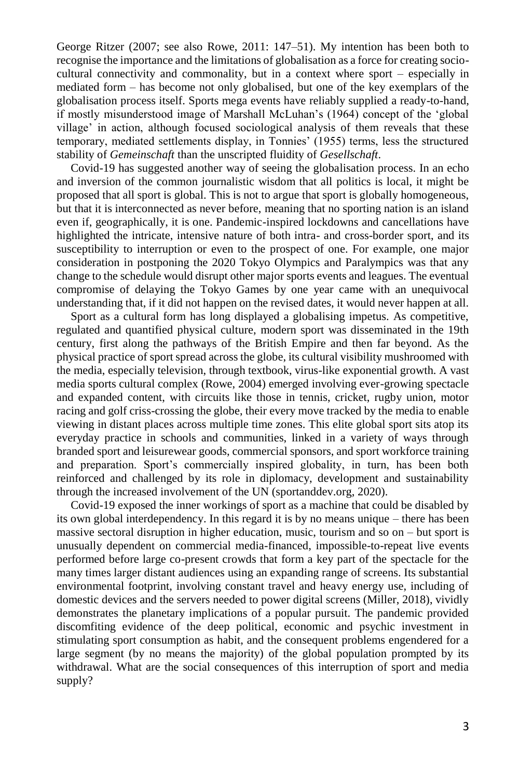George Ritzer (2007; see also Rowe, 2011: 147–51). My intention has been both to recognise the importance and the limitations of globalisation as a force for creating sociocultural connectivity and commonality, but in a context where sport – especially in mediated form – has become not only globalised, but one of the key exemplars of the globalisation process itself. Sports mega events have reliably supplied a ready-to-hand, if mostly misunderstood image of Marshall McLuhan's (1964) concept of the 'global village' in action, although focused sociological analysis of them reveals that these temporary, mediated settlements display, in Tonnies' (1955) terms, less the structured stability of *Gemeinschaft* than the unscripted fluidity of *Gesellschaft*.

Covid-19 has suggested another way of seeing the globalisation process. In an echo and inversion of the common journalistic wisdom that all politics is local, it might be proposed that all sport is global. This is not to argue that sport is globally homogeneous, but that it is interconnected as never before, meaning that no sporting nation is an island even if, geographically, it is one. Pandemic-inspired lockdowns and cancellations have highlighted the intricate, intensive nature of both intra- and cross-border sport, and its susceptibility to interruption or even to the prospect of one. For example, one major consideration in postponing the 2020 Tokyo Olympics and Paralympics was that any change to the schedule would disrupt other major sports events and leagues. The eventual compromise of delaying the Tokyo Games by one year came with an unequivocal understanding that, if it did not happen on the revised dates, it would never happen at all.

Sport as a cultural form has long displayed a globalising impetus. As competitive, regulated and quantified physical culture, modern sport was disseminated in the 19th century, first along the pathways of the British Empire and then far beyond. As the physical practice of sport spread across the globe, its cultural visibility mushroomed with the media, especially television, through textbook, virus-like exponential growth. A vast media sports cultural complex (Rowe, 2004) emerged involving ever-growing spectacle and expanded content, with circuits like those in tennis, cricket, rugby union, motor racing and golf criss-crossing the globe, their every move tracked by the media to enable viewing in distant places across multiple time zones. This elite global sport sits atop its everyday practice in schools and communities, linked in a variety of ways through branded sport and leisurewear goods, commercial sponsors, and sport workforce training and preparation. Sport's commercially inspired globality, in turn, has been both reinforced and challenged by its role in diplomacy, development and sustainability through the increased involvement of the UN (sportanddev.org, 2020).

Covid-19 exposed the inner workings of sport as a machine that could be disabled by its own global interdependency. In this regard it is by no means unique – there has been massive sectoral disruption in higher education, music, tourism and so on – but sport is unusually dependent on commercial media-financed, impossible-to-repeat live events performed before large co-present crowds that form a key part of the spectacle for the many times larger distant audiences using an expanding range of screens. Its substantial environmental footprint, involving constant travel and heavy energy use, including of domestic devices and the servers needed to power digital screens (Miller, 2018), vividly demonstrates the planetary implications of a popular pursuit. The pandemic provided discomfiting evidence of the deep political, economic and psychic investment in stimulating sport consumption as habit, and the consequent problems engendered for a large segment (by no means the majority) of the global population prompted by its withdrawal. What are the social consequences of this interruption of sport and media supply?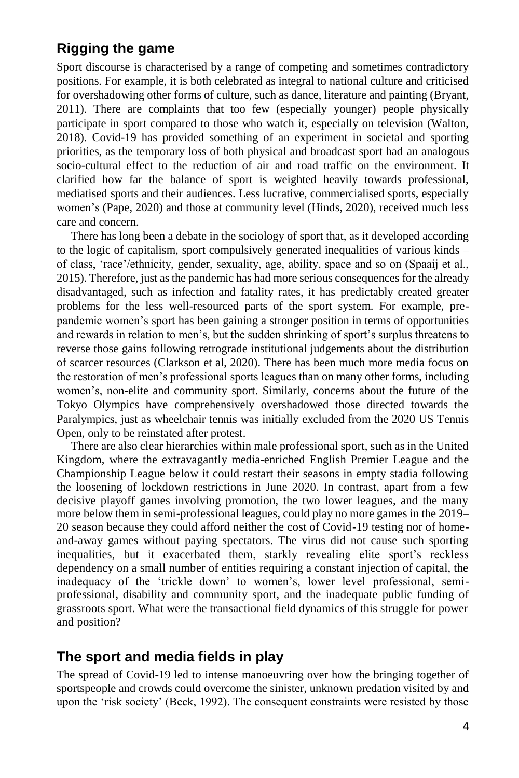# **Rigging the game**

Sport discourse is characterised by a range of competing and sometimes contradictory positions. For example, it is both celebrated as integral to national culture and criticised for overshadowing other forms of culture, such as dance, literature and painting (Bryant, 2011). There are complaints that too few (especially younger) people physically participate in sport compared to those who watch it, especially on television (Walton, 2018). Covid-19 has provided something of an experiment in societal and sporting priorities, as the temporary loss of both physical and broadcast sport had an analogous socio-cultural effect to the reduction of air and road traffic on the environment. It clarified how far the balance of sport is weighted heavily towards professional, mediatised sports and their audiences. Less lucrative, commercialised sports, especially women's (Pape, 2020) and those at community level (Hinds, 2020), received much less care and concern.

There has long been a debate in the sociology of sport that, as it developed according to the logic of capitalism, sport compulsively generated inequalities of various kinds – of class, 'race'/ethnicity, gender, sexuality, age, ability, space and so on (Spaaij et al., 2015). Therefore, just as the pandemic has had more serious consequences for the already disadvantaged, such as infection and fatality rates, it has predictably created greater problems for the less well-resourced parts of the sport system. For example, prepandemic women's sport has been gaining a stronger position in terms of opportunities and rewards in relation to men's, but the sudden shrinking of sport's surplus threatens to reverse those gains following retrograde institutional judgements about the distribution of scarcer resources (Clarkson et al, 2020). There has been much more media focus on the restoration of men's professional sports leagues than on many other forms, including women's, non-elite and community sport. Similarly, concerns about the future of the Tokyo Olympics have comprehensively overshadowed those directed towards the Paralympics, just as wheelchair tennis was initially excluded from the 2020 US Tennis Open, only to be reinstated after protest.

There are also clear hierarchies within male professional sport, such as in the United Kingdom, where the extravagantly media-enriched English Premier League and the Championship League below it could restart their seasons in empty stadia following the loosening of lockdown restrictions in June 2020. In contrast, apart from a few decisive playoff games involving promotion, the two lower leagues, and the many more below them in semi-professional leagues, could play no more games in the 2019– 20 season because they could afford neither the cost of Covid-19 testing nor of homeand-away games without paying spectators. The virus did not cause such sporting inequalities, but it exacerbated them, starkly revealing elite sport's reckless dependency on a small number of entities requiring a constant injection of capital, the inadequacy of the 'trickle down' to women's, lower level professional, semiprofessional, disability and community sport, and the inadequate public funding of grassroots sport. What were the transactional field dynamics of this struggle for power and position?

# **The sport and media fields in play**

The spread of Covid-19 led to intense manoeuvring over how the bringing together of sportspeople and crowds could overcome the sinister, unknown predation visited by and upon the 'risk society' (Beck, 1992). The consequent constraints were resisted by those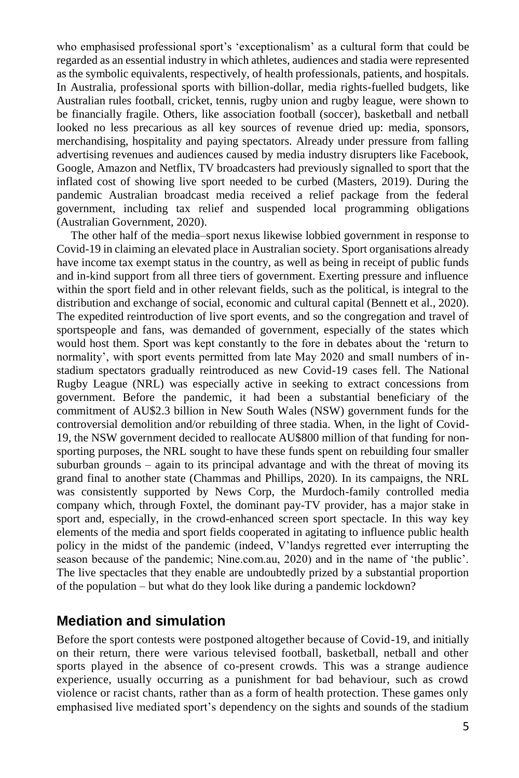who emphasised professional sport's 'exceptionalism' as a cultural form that could be regarded as an essential industry in which athletes, audiences and stadia were represented as the symbolic equivalents, respectively, of health professionals, patients, and hospitals. In Australia, professional sports with billion-dollar, media rights-fuelled budgets, like Australian rules football, cricket, tennis, rugby union and rugby league, were shown to be financially fragile. Others, like association football (soccer), basketball and netball looked no less precarious as all key sources of revenue dried up: media, sponsors, merchandising, hospitality and paying spectators. Already under pressure from falling advertising revenues and audiences caused by media industry disrupters like Facebook, Google, Amazon and Netflix, TV broadcasters had previously signalled to sport that the inflated cost of showing live sport needed to be curbed (Masters, 2019). During the pandemic Australian broadcast media received a relief package from the federal government, including tax relief and suspended local programming obligations (Australian Government, 2020).

The other half of the media–sport nexus likewise lobbied government in response to Covid-19 in claiming an elevated place in Australian society. Sport organisations already have income tax exempt status in the country, as well as being in receipt of public funds and in-kind support from all three tiers of government. Exerting pressure and influence within the sport field and in other relevant fields, such as the political, is integral to the distribution and exchange of social, economic and cultural capital (Bennett et al., 2020). The expedited reintroduction of live sport events, and so the congregation and travel of sportspeople and fans, was demanded of government, especially of the states which would host them. Sport was kept constantly to the fore in debates about the 'return to normality', with sport events permitted from late May 2020 and small numbers of instadium spectators gradually reintroduced as new Covid-19 cases fell. The National Rugby League (NRL) was especially active in seeking to extract concessions from government. Before the pandemic, it had been a substantial beneficiary of the commitment of AU\$2.3 billion in New South Wales (NSW) government funds for the controversial demolition and/or rebuilding of three stadia. When, in the light of Covid-19, the NSW government decided to reallocate AU\$800 million of that funding for nonsporting purposes, the NRL sought to have these funds spent on rebuilding four smaller suburban grounds – again to its principal advantage and with the threat of moving its grand final to another state (Chammas and Phillips, 2020). In its campaigns, the NRL was consistently supported by News Corp, the Murdoch-family controlled media company which, through Foxtel, the dominant pay-TV provider, has a major stake in sport and, especially, in the crowd-enhanced screen sport spectacle. In this way key elements of the media and sport fields cooperated in agitating to influence public health policy in the midst of the pandemic (indeed, V'landys regretted ever interrupting the season because of the pandemic; Nine.com.au, 2020) and in the name of 'the public'. The live spectacles that they enable are undoubtedly prized by a substantial proportion of the population – but what do they look like during a pandemic lockdown?

# **Mediation and simulation**

Before the sport contests were postponed altogether because of Covid-19, and initially on their return, there were various televised football, basketball, netball and other sports played in the absence of co-present crowds. This was a strange audience experience, usually occurring as a punishment for bad behaviour, such as crowd violence or racist chants, rather than as a form of health protection. These games only emphasised live mediated sport's dependency on the sights and sounds of the stadium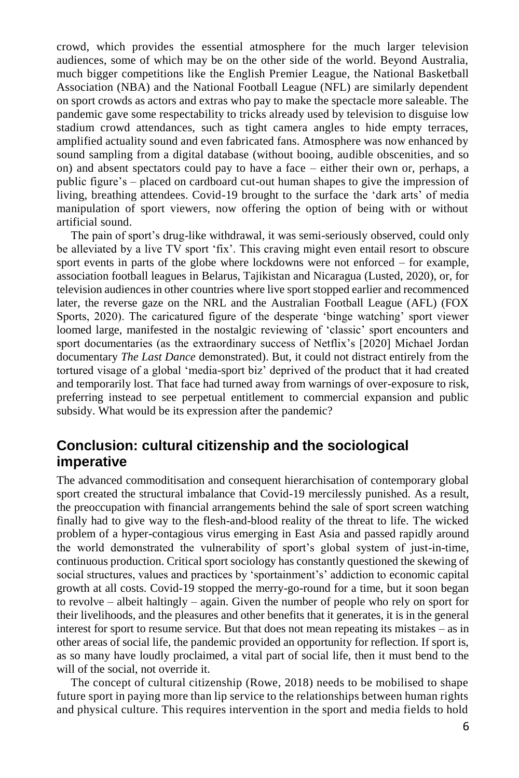crowd, which provides the essential atmosphere for the much larger television audiences, some of which may be on the other side of the world. Beyond Australia, much bigger competitions like the English Premier League, the National Basketball Association (NBA) and the National Football League (NFL) are similarly dependent on sport crowds as actors and extras who pay to make the spectacle more saleable. The pandemic gave some respectability to tricks already used by television to disguise low stadium crowd attendances, such as tight camera angles to hide empty terraces, amplified actuality sound and even fabricated fans. Atmosphere was now enhanced by sound sampling from a digital database (without booing, audible obscenities, and so on) and absent spectators could pay to have a face – either their own or, perhaps, a public figure's – placed on cardboard cut-out human shapes to give the impression of living, breathing attendees. Covid-19 brought to the surface the 'dark arts' of media manipulation of sport viewers, now offering the option of being with or without artificial sound.

The pain of sport's drug-like withdrawal, it was semi-seriously observed, could only be alleviated by a live TV sport 'fix'. This craving might even entail resort to obscure sport events in parts of the globe where lockdowns were not enforced – for example, association football leagues in Belarus, Tajikistan and Nicaragua (Lusted, 2020), or, for television audiences in other countries where live sport stopped earlier and recommenced later, the reverse gaze on the NRL and the Australian Football League (AFL) (FOX Sports, 2020). The caricatured figure of the desperate 'binge watching' sport viewer loomed large, manifested in the nostalgic reviewing of 'classic' sport encounters and sport documentaries (as the extraordinary success of Netflix's [2020] Michael Jordan documentary *The Last Dance* demonstrated). But, it could not distract entirely from the tortured visage of a global 'media-sport biz' deprived of the product that it had created and temporarily lost. That face had turned away from warnings of over-exposure to risk, preferring instead to see perpetual entitlement to commercial expansion and public subsidy. What would be its expression after the pandemic?

# **Conclusion: cultural citizenship and the sociological imperative**

The advanced commoditisation and consequent hierarchisation of contemporary global sport created the structural imbalance that Covid-19 mercilessly punished. As a result, the preoccupation with financial arrangements behind the sale of sport screen watching finally had to give way to the flesh-and-blood reality of the threat to life. The wicked problem of a hyper-contagious virus emerging in East Asia and passed rapidly around the world demonstrated the vulnerability of sport's global system of just-in-time, continuous production. Critical sport sociology has constantly questioned the skewing of social structures, values and practices by 'sportainment's' addiction to economic capital growth at all costs. Covid-19 stopped the merry-go-round for a time, but it soon began to revolve – albeit haltingly – again. Given the number of people who rely on sport for their livelihoods, and the pleasures and other benefits that it generates, it is in the general interest for sport to resume service. But that does not mean repeating its mistakes – as in other areas of social life, the pandemic provided an opportunity for reflection. If sport is, as so many have loudly proclaimed, a vital part of social life, then it must bend to the will of the social, not override it.

The concept of cultural citizenship (Rowe, 2018) needs to be mobilised to shape future sport in paying more than lip service to the relationships between human rights and physical culture. This requires intervention in the sport and media fields to hold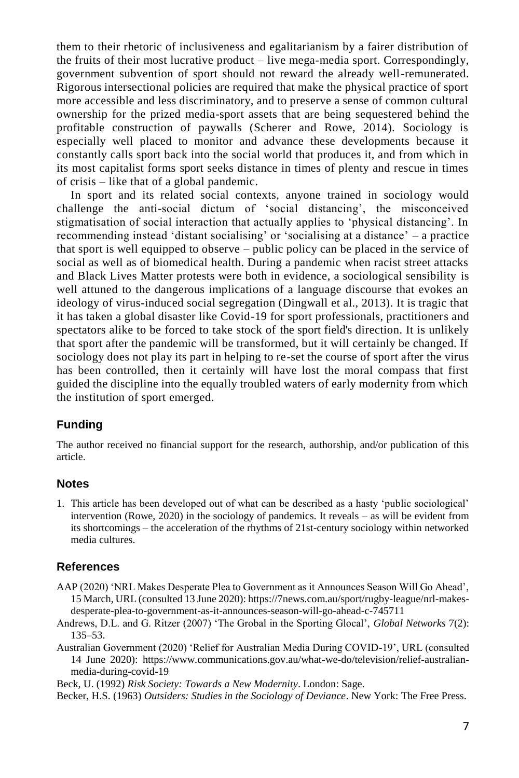them to their rhetoric of inclusiveness and egalitarianism by a fairer distribution of the fruits of their most lucrative product – live mega-media sport. Correspondingly, government subvention of sport should not reward the already well-remunerated. Rigorous intersectional policies are required that make the physical practice of sport more accessible and less discriminatory, and to preserve a sense of common cultural ownership for the prized media-sport assets that are being sequestered behind the profitable construction of paywalls (Scherer and Rowe, 2014). Sociology is especially well placed to monitor and advance these developments because it constantly calls sport back into the social world that produces it, and from which in its most capitalist forms sport seeks distance in times of plenty and rescue in times of crisis – like that of a global pandemic.

In sport and its related social contexts, anyone trained in sociology would challenge the anti-social dictum of 'social distancing', the misconceived stigmatisation of social interaction that actually applies to 'physical distancing'. In recommending instead 'distant socialising' or 'socialising at a distance' – a practice that sport is well equipped to observe – public policy can be placed in the service of social as well as of biomedical health. During a pandemic when racist street attacks and Black Lives Matter protests were both in evidence, a sociological sensibility is well attuned to the dangerous implications of a language discourse that evokes an ideology of virus-induced social segregation (Dingwall et al., 2013). It is tragic that it has taken a global disaster like Covid-19 for sport professionals, practitioners and spectators alike to be forced to take stock of the sport field's direction. It is unlikely that sport after the pandemic will be transformed, but it will certainly be changed. If sociology does not play its part in helping to re-set the course of sport after the virus has been controlled, then it certainly will have lost the moral compass that first guided the discipline into the equally troubled waters of early modernity from which the institution of sport emerged.

#### **Funding**

The author received no financial support for the research, authorship, and/or publication of this article.

#### **Notes**

1. This article has been developed out of what can be described as a hasty 'public sociological' intervention (Rowe, 2020) in the sociology of pandemics. It reveals – as will be evident from its shortcomings – the acceleration of the rhythms of 21st-century sociology within networked media cultures.

#### **References**

- AAP (2020) 'NRL Makes Desperate Plea to Government as it Announces Season Will Go Ahead', 15 March, URL (consulted 13 June 2020): https://7news.com.au/sport/rugby-league/nrl-makesdesperate-plea-to-government-as-it-announces-season-will-go-ahead-c-745711
- Andrews, D.L. and G. Ritzer (2007) 'The Grobal in the Sporting Glocal', *Global Networks* 7(2): 135–53.
- Australian Government (2020) 'Relief for Australian Media During COVID-19', URL (consulted 14 June 2020): https://www.communications.gov.au/what-we-do/television/relief-australianmedia-during-covid-19

Beck, U. (1992) *Risk Society: Towards a New Modernity*. London: Sage.

Becker, H.S. (1963) *Outsiders: Studies in the Sociology of Deviance*. New York: The Free Press.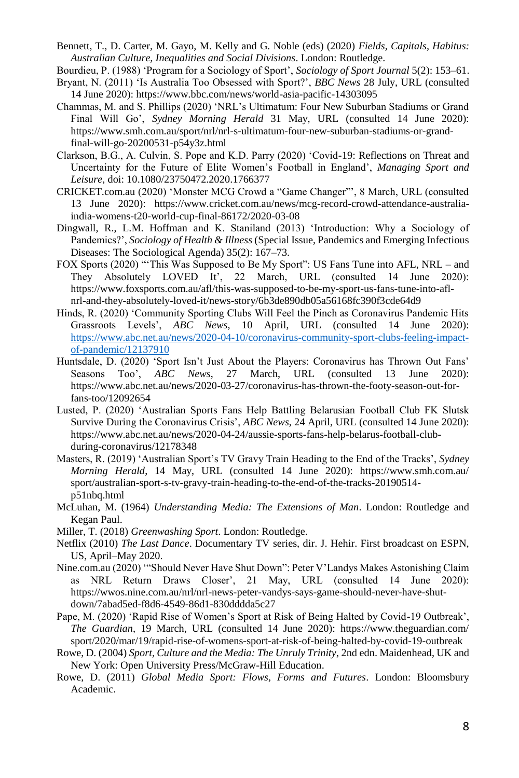- Bennett, T., D. Carter, M. Gayo, M. Kelly and G. Noble (eds) (2020) *Fields, Capitals, Habitus: Australian Culture, Inequalities and Social Divisions*. London: Routledge.
- Bourdieu, P. (1988) 'Program for a Sociology of Sport', *Sociology of Sport Journal* 5(2): 153–61.
- Bryant, N. (2011) 'Is Australia Too Obsessed with Sport?', *BBC News* 28 July, URL (consulted 14 June 2020): https://www.bbc.com/news/world-asia-pacific-14303095
- Chammas, M. and S. Phillips (2020) 'NRL's Ultimatum: Four New Suburban Stadiums or Grand Final Will Go', *Sydney Morning Herald* 31 May, URL (consulted 14 June 2020): https://www.smh.com.au/sport/nrl/nrl-s-ultimatum-four-new-suburban-stadiums-or-grandfinal-will-go-20200531-p54y3z.html
- Clarkson, B.G., A. Culvin, S. Pope and K.D. Parry (2020) 'Covid-19: Reflections on Threat and Uncertainty for the Future of Elite Women's Football in England', *Managing Sport and Leisure*, doi: 10.1080/23750472.2020.1766377
- CRICKET.com.au (2020) 'Monster MCG Crowd a "Game Changer"', 8 March, URL (consulted 13 June 2020): https://www.cricket.com.au/news/mcg-record-crowd-attendance-australiaindia-womens-t20-world-cup-final-86172/2020-03-08
- Dingwall, R., L.M. Hoffman and K. Staniland (2013) 'Introduction: Why a Sociology of Pandemics?', *Sociology of Health & Illness* (Special Issue, Pandemics and Emerging Infectious Diseases: The Sociological Agenda) 35(2): 167–73.
- FOX Sports (2020) "'This Was Supposed to Be My Sport": US Fans Tune into AFL, NRL and They Absolutely LOVED It', 22 March, URL (consulted 14 June 2020): https://www.foxsports.com.au/afl/this-was-supposed-to-be-my-sport-us-fans-tune-into-aflnrl-and-they-absolutely-loved-it/news-story/6b3de890db05a56168fc390f3cde64d9
- Hinds, R. (2020) 'Community Sporting Clubs Will Feel the Pinch as Coronavirus Pandemic Hits Grassroots Levels', *ABC News*, 10 April, URL (consulted 14 June 2020): [https://www.abc.net.au/news/2020-04-10/coronavirus-community-sport-clubs-feeling-impact](https://www.abc.net.au/news/2020-04-10/coronavirus-community-sport-clubs-feeling-impact-of-pandemic/12137910)[of-pandemic/12137910](https://www.abc.net.au/news/2020-04-10/coronavirus-community-sport-clubs-feeling-impact-of-pandemic/12137910)
- Huntsdale, D. (2020) 'Sport Isn't Just About the Players: Coronavirus has Thrown Out Fans'<br>Seasons Too', ABC News, 27 March, URL (consulted 13 June 2020): Seasons Too', *ABC News*, 27 March, URL (consulted 13 June 2020): https://www.abc.net.au/news/2020-03-27/coronavirus-has-thrown-the-footy-season-out-forfans-too/12092654
- Lusted, P. (2020) 'Australian Sports Fans Help Battling Belarusian Football Club FK Slutsk Survive During the Coronavirus Crisis', *ABC News*, 24 April, URL (consulted 14 June 2020): https://www.abc.net.au/news/2020-04-24/aussie-sports-fans-help-belarus-football-clubduring-coronavirus/12178348
- Masters, R. (2019) 'Australian Sport's TV Gravy Train Heading to the End of the Tracks', *Sydney Morning Herald*, 14 May, URL (consulted 14 June 2020): https://www.smh.com.au/ sport/australian-sport-s-tv-gravy-train-heading-to-the-end-of-the-tracks-20190514 p51nbq.html
- McLuhan, M. (1964) *Understanding Media: The Extensions of Man*. London: Routledge and Kegan Paul.
- Miller, T. (2018) *Greenwashing Sport*. London: Routledge.
- Netflix (2010) *The Last Dance*. Documentary TV series, dir. J. Hehir. First broadcast on ESPN, US, April–May 2020.
- Nine.com.au (2020) '"Should Never Have Shut Down": Peter V'Landys Makes Astonishing Claim as NRL Return Draws Closer', 21 May, URL (consulted 14 June 2020): https://wwos.nine.com.au/nrl/nrl-news-peter-vandys-says-game-should-never-have-shutdown/7abad5ed-f8d6-4549-86d1-830dddda5c27
- Pape, M. (2020) 'Rapid Rise of Women's Sport at Risk of Being Halted by Covid-19 Outbreak', *The Guardian*, 19 March, URL (consulted 14 June 2020): https://www.theguardian.com/ sport/2020/mar/19/rapid-rise-of-womens-sport-at-risk-of-being-halted-by-covid-19-outbreak
- Rowe, D. (2004) *Sport, Culture and the Media: The Unruly Trinity*, 2nd edn. Maidenhead, UK and New York: Open University Press/McGraw-Hill Education.
- Rowe, D. (2011) *Global Media Sport: Flows, Forms and Futures*. London: Bloomsbury Academic.